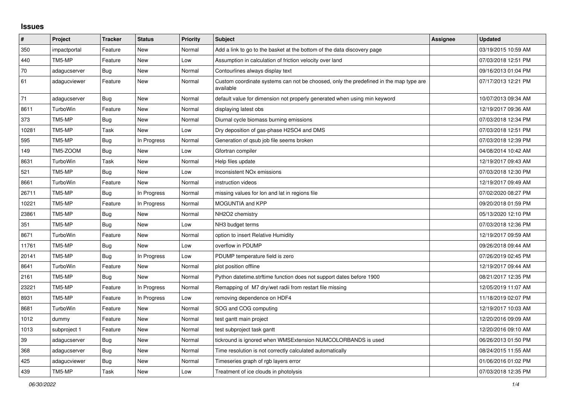## **Issues**

| #     | Project      | <b>Tracker</b> | <b>Status</b> | <b>Priority</b> | <b>Subject</b>                                                                                     | Assignee | <b>Updated</b>      |
|-------|--------------|----------------|---------------|-----------------|----------------------------------------------------------------------------------------------------|----------|---------------------|
| 350   | impactportal | Feature        | New           | Normal          | Add a link to go to the basket at the bottom of the data discovery page                            |          | 03/19/2015 10:59 AM |
| 440   | TM5-MP       | Feature        | <b>New</b>    | Low             | Assumption in calculation of friction velocity over land                                           |          | 07/03/2018 12:51 PM |
| 70    | adagucserver | Bug            | <b>New</b>    | Normal          | Contourlines always display text                                                                   |          | 09/16/2013 01:04 PM |
| 61    | adagucviewer | Feature        | New           | Normal          | Custom coordinate systems can not be choosed, only the predefined in the map type are<br>available |          | 07/17/2013 12:21 PM |
| 71    | adagucserver | Bug            | New           | Normal          | default value for dimension not properly generated when using min keyword                          |          | 10/07/2013 09:34 AM |
| 8611  | TurboWin     | Feature        | New           | Normal          | displaying latest obs                                                                              |          | 12/19/2017 09:36 AM |
| 373   | TM5-MP       | <b>Bug</b>     | New           | Normal          | Diurnal cycle biomass burning emissions                                                            |          | 07/03/2018 12:34 PM |
| 10281 | TM5-MP       | Task           | New           | Low             | Dry deposition of gas-phase H2SO4 and DMS                                                          |          | 07/03/2018 12:51 PM |
| 595   | TM5-MP       | Bug            | In Progress   | Normal          | Generation of gsub job file seems broken                                                           |          | 07/03/2018 12:39 PM |
| 149   | TM5-ZOOM     | Bug            | <b>New</b>    | Low             | Gfortran compiler                                                                                  |          | 04/08/2014 10:42 AM |
| 8631  | TurboWin     | Task           | <b>New</b>    | Normal          | Help files update                                                                                  |          | 12/19/2017 09:43 AM |
| 521   | TM5-MP       | Bug            | New           | Low             | Inconsistent NO <sub>x</sub> emissions                                                             |          | 07/03/2018 12:30 PM |
| 8661  | TurboWin     | Feature        | <b>New</b>    | Normal          | instruction videos                                                                                 |          | 12/19/2017 09:49 AM |
| 26711 | TM5-MP       | Bug            | In Progress   | Normal          | missing values for lon and lat in regions file                                                     |          | 07/02/2020 08:27 PM |
| 10221 | TM5-MP       | Feature        | In Progress   | Normal          | <b>MOGUNTIA and KPP</b>                                                                            |          | 09/20/2018 01:59 PM |
| 23861 | TM5-MP       | Bug            | <b>New</b>    | Normal          | NH2O2 chemistry                                                                                    |          | 05/13/2020 12:10 PM |
| 351   | TM5-MP       | Bug            | <b>New</b>    | Low             | NH3 budget terms                                                                                   |          | 07/03/2018 12:36 PM |
| 8671  | TurboWin     | Feature        | New           | Normal          | option to insert Relative Humidity                                                                 |          | 12/19/2017 09:59 AM |
| 11761 | TM5-MP       | Bug            | New           | Low             | overflow in PDUMP                                                                                  |          | 09/26/2018 09:44 AM |
| 20141 | TM5-MP       | Bug            | In Progress   | Low             | PDUMP temperature field is zero                                                                    |          | 07/26/2019 02:45 PM |
| 8641  | TurboWin     | Feature        | New           | Normal          | plot position offline                                                                              |          | 12/19/2017 09:44 AM |
| 2161  | TM5-MP       | <b>Bug</b>     | New           | Normal          | Python datetime.strftime function does not support dates before 1900                               |          | 08/21/2017 12:35 PM |
| 23221 | TM5-MP       | Feature        | In Progress   | Normal          | Remapping of M7 dry/wet radii from restart file missing                                            |          | 12/05/2019 11:07 AM |
| 8931  | TM5-MP       | Feature        | In Progress   | Low             | removing dependence on HDF4                                                                        |          | 11/18/2019 02:07 PM |
| 8681  | TurboWin     | Feature        | New           | Normal          | SOG and COG computing                                                                              |          | 12/19/2017 10:03 AM |
| 1012  | dummy        | Feature        | New           | Normal          | test gantt main project                                                                            |          | 12/20/2016 09:09 AM |
| 1013  | subproject 1 | Feature        | New           | Normal          | test subproject task gantt                                                                         |          | 12/20/2016 09:10 AM |
| 39    | adagucserver | Bug            | New           | Normal          | tickround is ignored when WMSExtension NUMCOLORBANDS is used                                       |          | 06/26/2013 01:50 PM |
| 368   | adagucserver | <b>Bug</b>     | New           | Normal          | Time resolution is not correctly calculated automatically                                          |          | 08/24/2015 11:55 AM |
| 425   | adagucviewer | Bug            | New           | Normal          | Timeseries graph of rgb layers error                                                               |          | 01/06/2016 01:02 PM |
| 439   | TM5-MP       | Task           | <b>New</b>    | Low             | Treatment of ice clouds in photolysis                                                              |          | 07/03/2018 12:35 PM |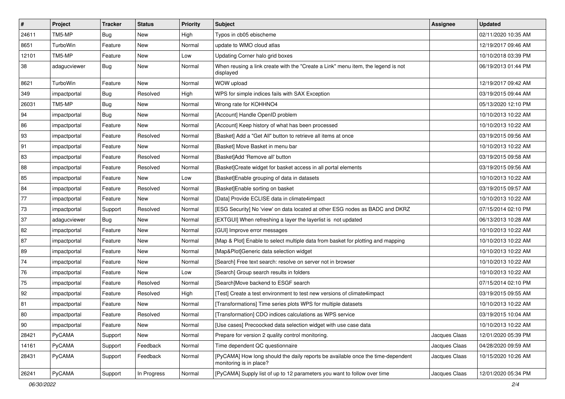| $\vert$ # | Project      | <b>Tracker</b> | <b>Status</b> | <b>Priority</b> | <b>Subject</b>                                                                                             | <b>Assignee</b> | <b>Updated</b>      |
|-----------|--------------|----------------|---------------|-----------------|------------------------------------------------------------------------------------------------------------|-----------------|---------------------|
| 24611     | TM5-MP       | <b>Bug</b>     | New           | High            | Typos in cb05 ebischeme                                                                                    |                 | 02/11/2020 10:35 AM |
| 8651      | TurboWin     | Feature        | <b>New</b>    | Normal          | update to WMO cloud atlas                                                                                  |                 | 12/19/2017 09:46 AM |
| 12101     | TM5-MP       | Feature        | New           | Low             | Updating Corner halo grid boxes                                                                            |                 | 10/10/2018 03:39 PM |
| 38        | adagucviewer | Bug            | New           | Normal          | When reusing a link create with the "Create a Link" menu item, the legend is not<br>displayed              |                 | 06/19/2013 01:44 PM |
| 8621      | TurboWin     | Feature        | <b>New</b>    | Normal          | WOW upload                                                                                                 |                 | 12/19/2017 09:42 AM |
| 349       | impactportal | <b>Bug</b>     | Resolved      | High            | WPS for simple indices fails with SAX Exception                                                            |                 | 03/19/2015 09:44 AM |
| 26031     | TM5-MP       | <b>Bug</b>     | New           | Normal          | Wrong rate for KOHHNO4                                                                                     |                 | 05/13/2020 12:10 PM |
| 94        | impactportal | <b>Bug</b>     | <b>New</b>    | Normal          | [Account] Handle OpenID problem                                                                            |                 | 10/10/2013 10:22 AM |
| 86        | impactportal | Feature        | <b>New</b>    | Normal          | [Account] Keep history of what has been processed                                                          |                 | 10/10/2013 10:22 AM |
| 93        | impactportal | Feature        | Resolved      | Normal          | [Basket] Add a "Get All" button to retrieve all items at once                                              |                 | 03/19/2015 09:56 AM |
| 91        | impactportal | Feature        | New           | Normal          | [Basket] Move Basket in menu bar                                                                           |                 | 10/10/2013 10:22 AM |
| 83        | impactportal | Feature        | Resolved      | Normal          | [Basket]Add 'Remove all' button                                                                            |                 | 03/19/2015 09:58 AM |
| 88        | impactportal | Feature        | Resolved      | Normal          | [Basket]Create widget for basket access in all portal elements                                             |                 | 03/19/2015 09:56 AM |
| 85        | impactportal | Feature        | New           | Low             | [Basket] Enable grouping of data in datasets                                                               |                 | 10/10/2013 10:22 AM |
| 84        | impactportal | Feature        | Resolved      | Normal          | [Basket]Enable sorting on basket                                                                           |                 | 03/19/2015 09:57 AM |
| 77        | impactportal | Feature        | New           | Normal          | [Data] Provide ECLISE data in climate4impact                                                               |                 | 10/10/2013 10:22 AM |
| 73        | impactportal | Support        | Resolved      | Normal          | [ESG Security] No 'view' on data located at other ESG nodes as BADC and DKRZ                               |                 | 07/15/2014 02:10 PM |
| 37        | adagucviewer | Bug            | New           | Normal          | [EXTGUI] When refreshing a layer the layerlist is not updated                                              |                 | 06/13/2013 10:28 AM |
| 82        | impactportal | Feature        | <b>New</b>    | Normal          | [GUI] Improve error messages                                                                               |                 | 10/10/2013 10:22 AM |
| 87        | impactportal | Feature        | New           | Normal          | [Map & Plot] Enable to select multiple data from basket for plotting and mapping                           |                 | 10/10/2013 10:22 AM |
| 89        | impactportal | Feature        | New           | Normal          | [Map&Plot]Generic data selection widget                                                                    |                 | 10/10/2013 10:22 AM |
| 74        | impactportal | Feature        | New           | Normal          | [Search] Free text search: resolve on server not in browser                                                |                 | 10/10/2013 10:22 AM |
| 76        | impactportal | Feature        | New           | Low             | [Search] Group search results in folders                                                                   |                 | 10/10/2013 10:22 AM |
| 75        | impactportal | Feature        | Resolved      | Normal          | [Search]Move backend to ESGF search                                                                        |                 | 07/15/2014 02:10 PM |
| 92        | impactportal | Feature        | Resolved      | High            | [Test] Create a test environment to test new versions of climate4impact                                    |                 | 03/19/2015 09:55 AM |
| 81        | impactportal | Feature        | New           | Normal          | [Transformations] Time series plots WPS for multiple datasets                                              |                 | 10/10/2013 10:22 AM |
| 80        | impactportal | Feature        | Resolved      | Normal          | [Transformation] CDO indices calculations as WPS service                                                   |                 | 03/19/2015 10:04 AM |
| 90        | impactportal | Feature        | New           | Normal          | [Use cases] Precoocked data selection widget with use case data                                            |                 | 10/10/2013 10:22 AM |
| 28421     | PyCAMA       | Support        | New           | Normal          | Prepare for version 2 quality control monitoring.                                                          | Jacques Claas   | 12/01/2020 05:39 PM |
| 14161     | PyCAMA       | Support        | Feedback      | Normal          | Time dependent QC questionnaire                                                                            | Jacques Claas   | 04/28/2020 09:59 AM |
| 28431     | PyCAMA       | Support        | Feedback      | Normal          | [PyCAMA] How long should the daily reports be available once the time-dependent<br>monitoring is in place? | Jacques Claas   | 10/15/2020 10:26 AM |
| 26241     | PyCAMA       | Support        | In Progress   | Normal          | [PyCAMA] Supply list of up to 12 parameters you want to follow over time                                   | Jacques Claas   | 12/01/2020 05:34 PM |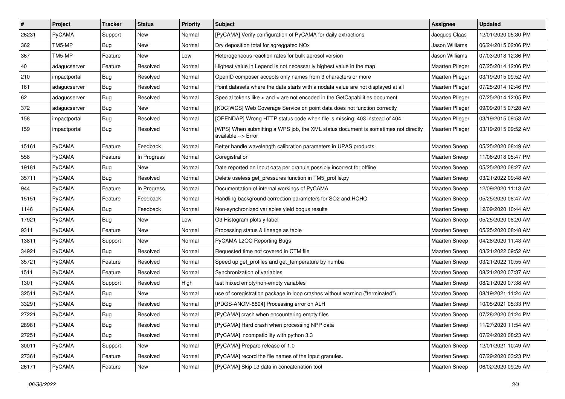| $\vert$ # | Project       | <b>Tracker</b> | <b>Status</b> | <b>Priority</b> | <b>Subject</b>                                                                                            | Assignee             | <b>Updated</b>      |
|-----------|---------------|----------------|---------------|-----------------|-----------------------------------------------------------------------------------------------------------|----------------------|---------------------|
| 26231     | PyCAMA        | Support        | New           | Normal          | [PyCAMA] Verify configuration of PyCAMA for daily extractions                                             | Jacques Claas        | 12/01/2020 05:30 PM |
| 362       | TM5-MP        | Bug            | <b>New</b>    | Normal          | Dry deposition total for agreggated NOx                                                                   | Jason Williams       | 06/24/2015 02:06 PM |
| 367       | TM5-MP        | Feature        | New           | Low             | Heterogeneous reaction rates for bulk aerosol version                                                     | Jason Williams       | 07/03/2018 12:36 PM |
| 40        | adagucserver  | Feature        | Resolved      | Normal          | Highest value in Legend is not necessarily highest value in the map                                       | Maarten Plieger      | 07/25/2014 12:06 PM |
| 210       | impactportal  | Bug            | Resolved      | Normal          | OpenID composer accepts only names from 3 characters or more                                              | Maarten Plieger      | 03/19/2015 09:52 AM |
| 161       | adagucserver  | Bug            | Resolved      | Normal          | Point datasets where the data starts with a nodata value are not displayed at all                         | Maarten Plieger      | 07/25/2014 12:46 PM |
| 62        | adagucserver  | <b>Bug</b>     | Resolved      | Normal          | Special tokens like < and > are not encoded in the GetCapabilities document                               | Maarten Plieger      | 07/25/2014 12:05 PM |
| 372       | adagucserver  | Bug            | New           | Normal          | [KDC WCS] Web Coverage Service on point data does not function correctly                                  | Maarten Plieger      | 09/09/2015 07:28 AM |
| 158       | impactportal  | <b>Bug</b>     | Resolved      | Normal          | [OPENDAP] Wrong HTTP status code when file is missing: 403 instead of 404.                                | Maarten Plieger      | 03/19/2015 09:53 AM |
| 159       | impactportal  | Bug            | Resolved      | Normal          | [WPS] When submitting a WPS job, the XML status document is sometimes not directly<br>available --> Error | Maarten Plieger      | 03/19/2015 09:52 AM |
| 15161     | PyCAMA        | Feature        | Feedback      | Normal          | Better handle wavelength calibration parameters in UPAS products                                          | Maarten Sneep        | 05/25/2020 08:49 AM |
| 558       | PyCAMA        | Feature        | In Progress   | Normal          | Coregistration                                                                                            | Maarten Sneep        | 11/06/2018 05:47 PM |
| 19181     | PyCAMA        | <b>Bug</b>     | New           | Normal          | Date reported on Input data per granule possibly incorrect for offline                                    | <b>Maarten Sneep</b> | 05/25/2020 08:27 AM |
| 35711     | PyCAMA        | Bug            | Resolved      | Normal          | Delete useless get pressures function in TM5 profile.py                                                   | <b>Maarten Sneep</b> | 03/21/2022 09:48 AM |
| 944       | PyCAMA        | Feature        | In Progress   | Normal          | Documentation of internal workings of PyCAMA                                                              | <b>Maarten Sneep</b> | 12/09/2020 11:13 AM |
| 15151     | PyCAMA        | Feature        | Feedback      | Normal          | Handling background correction parameters for SO2 and HCHO                                                | <b>Maarten Sneep</b> | 05/25/2020 08:47 AM |
| 1146      | PyCAMA        | Bug            | Feedback      | Normal          | Non-synchronized variables yield bogus results                                                            | Maarten Sneep        | 12/09/2020 10:44 AM |
| 17921     | PyCAMA        | <b>Bug</b>     | New           | Low             | O3 Histogram plots y-label                                                                                | <b>Maarten Sneep</b> | 05/25/2020 08:20 AM |
| 9311      | PyCAMA        | Feature        | New           | Normal          | Processing status & lineage as table                                                                      | <b>Maarten Sneep</b> | 05/25/2020 08:48 AM |
| 13811     | PyCAMA        | Support        | New           | Normal          | PyCAMA L2QC Reporting Bugs                                                                                | Maarten Sneep        | 04/28/2020 11:43 AM |
| 34921     | PyCAMA        | <b>Bug</b>     | Resolved      | Normal          | Requested time not covered in CTM file                                                                    | <b>Maarten Sneep</b> | 03/21/2022 09:52 AM |
| 35721     | PyCAMA        | Feature        | Resolved      | Normal          | Speed up get_profiles and get_temperature by numba                                                        | <b>Maarten Sneep</b> | 03/21/2022 10:55 AM |
| 1511      | PyCAMA        | Feature        | Resolved      | Normal          | Synchronization of variables                                                                              | <b>Maarten Sneep</b> | 08/21/2020 07:37 AM |
| 1301      | PyCAMA        | Support        | Resolved      | High            | test mixed empty/non-empty variables                                                                      | <b>Maarten Sneep</b> | 08/21/2020 07:38 AM |
| 32511     | PyCAMA        | Bug            | <b>New</b>    | Normal          | use of coregistration package in loop crashes without warning ("terminated")                              | Maarten Sneep        | 08/19/2021 11:24 AM |
| 33291     | PyCAMA        | Bug            | Resolved      | Normal          | [PDGS-ANOM-8804] Processing error on ALH                                                                  | <b>Maarten Sneep</b> | 10/05/2021 05:33 PM |
| 27221     | <b>PyCAMA</b> | Bug            | Resolved      | Normal          | [PyCAMA] crash when encountering empty files                                                              | Maarten Sneep        | 07/28/2020 01:24 PM |
| 28981     | PyCAMA        | <b>Bug</b>     | Resolved      | Normal          | [PyCAMA] Hard crash when processing NPP data                                                              | Maarten Sneep        | 11/27/2020 11:54 AM |
| 27251     | PyCAMA        | <b>Bug</b>     | Resolved      | Normal          | [PyCAMA] incompatibility with python 3.3                                                                  | Maarten Sneep        | 07/24/2020 08:23 AM |
| 30011     | PyCAMA        | Support        | New           | Normal          | [PyCAMA] Prepare release of 1.0                                                                           | Maarten Sneep        | 12/01/2021 10:49 AM |
| 27361     | PyCAMA        | Feature        | Resolved      | Normal          | [PyCAMA] record the file names of the input granules.                                                     | Maarten Sneep        | 07/29/2020 03:23 PM |
| 26171     | PyCAMA        | Feature        | New           | Normal          | [PyCAMA] Skip L3 data in concatenation tool                                                               | Maarten Sneep        | 06/02/2020 09:25 AM |